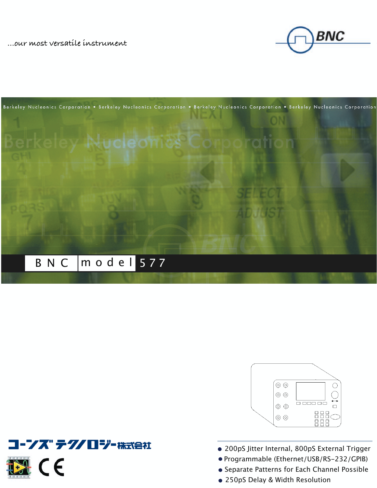**…our most versatile instrument**









- Programmable (Ethernet/USB/RS-232/GPIB)
- Separate Patterns for Each Channel Possible
- 250pS Delay & Width Resolution

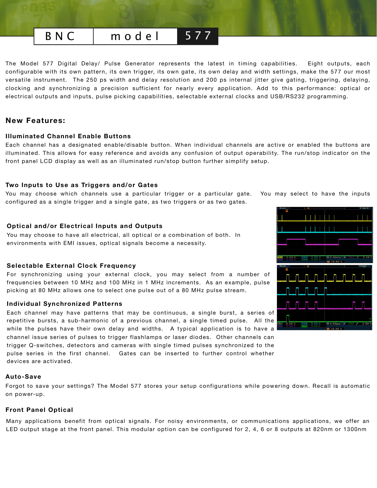## BNC | model 577

The Model 577 Digital Delay/ Pulse Generator represents the latest in timing capabilities. Eight outputs, each configurable with its own pattern, its own trigger, its own gate, its own delay and width settings, make the 577 our most versatile instrument. The 250 ps width and delay resolution and 200 ps internal jitter give gating, triggering, delaying, clocking and synchronizing a precision sufficient for nearly every application. Add to this performance: optical or electrical outputs and inputs, pulse picking capabilities, selectable external clocks and USB/RS232 programming.

## **New Features:**

### **Illuminated Channel Enable Buttons**

Each channel has a designated enable/disable button. When individual channels are active or enabled the buttons are illuminated. This allows for easy reference and avoids any confusion of output operability. The run/stop indicator on the front panel LCD display as well as an illuminated run/stop button further simplify setup.

### **Two Inputs to Use as Triggers and/or Gates**

You may choose which channels use a particular trigger or a particular gate. You may select to have the inputs configured as a single trigger and a single gate, as two triggers or as two gates.

### **Optical and/or Electrical Inputs and Outputs**

You may choose to have all electrical, all optical or a combination of both. In environments with EMI issues, optical signals become a necessity.

### **Selectable External Clock Frequency**

For synchronizing using your external clock, you may select from a number of frequencies between 10 MHz and 100 MHz in 1 MHz increments. As an example, pulse picking at 80 MHz allows one to select one pulse out of a 80 MHz pulse stream.

### **Individual Synchronized Patterns**

Each channel may have patterns that may be continuous, a single burst, a series of repetitive bursts, a sub-harmonic of a previous channel, a single timed pulse. All the while the pulses have their own delay and widths. A typical application is to have a channel issue series of pulses to trigger flashlamps or laser diodes. Other channels can trigger Q-switches, detectors and cameras with single timed pulses synchronized to the pulse series in the first channel. Gates can be inserted to further control whether devices are activated.

### **Auto-Save**

Forgot to save your settings? The Model 577 stores your setup configurations while powering down. Recall is automatic on power-up.

### **Front Panel Optical**

Many applications benefit from optical signals. For noisy environments, or communications applications, we offer an LED output stage at the front panel. This modular option can be configured for 2, 4, 6 or 8 outputs at 820nm or 1300nm

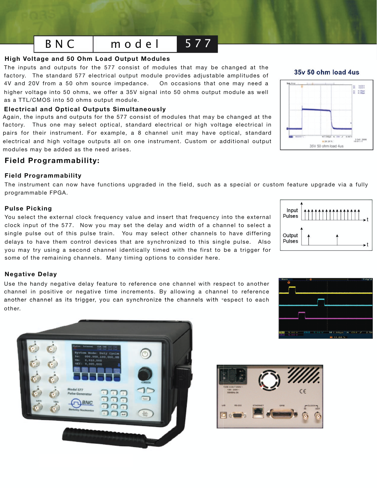## B N C  $\,$  m o d e l 577

### **High Voltage and 50 Ohm Load Output Modules**

The inputs and outputs for the 577 consist of modules that may be changed at the factory. The standard 577 electrical output module provides adjustable amplitudes of 4V and 20V from a 50 ohm source impedance. On occasions that one may need a higher voltage into 50 ohms, we offer a 35V signal into 50 ohms output module as well as a TTL/CMOS into 50 ohms output module.

## **Electrical and Optical Outputs Simultaneously**

Again, the inputs and outputs for the 577 consist of modules that may be changed at the factory. Thus one may select optical, standard electrical or high voltage electrical in pairs for their instrument. For example, a 8 channel unit may have optical, standard electrical and high voltage outputs all on one instrument. Custom or additional output modules may be added as the need arises.

## **Field Programmability:**

## **Field Programmability**

The instrument can now have functions upgraded in the field, such as a special or custom feature upgrade via a fully programmable FPGA.

## **Pulse Picking**

You select the external clock frequency value and insert that frequency into the external clock input of the 577. Now you may set the delay and width of a channel to select a single pulse out of this pulse train. You may select other channels to have differing delays to have them control devices that are synchronized to this single pulse. Also you may try using a second channel identically timed with the first to be a trigger for some of the remaining channels. Many timing options to consider here.

## **Negative Delay**

Use the handy negative delay feature to reference one channel with respect to another channel in positive or negative time increments. By allowing a channel to reference another channel as its trigger, you can synchronize the channels with respect to each other. other.



# **Standard** 104, 208 **BOK203** 35V 50 ohm load 4us







## 35y 50 ohm load 4us

**全 出生的**  $A = 1.554$